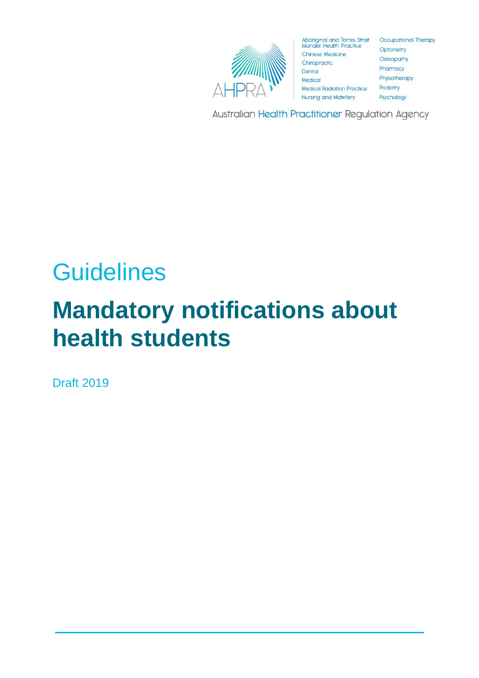

Aboriginal and Torres Strait Occupational Therapy<br>Islander Health Practice Contempts **Chinese Medicine** Chiropractic Dental Medical **Medical Radiation Practice Nursing and Midwifery** 

Optometry Osteopathy Pharmacy Physiotherapy Podiatry Psychology

Australian Health Practitioner Regulation Agency

# **Guidelines**

# **Mandatory notifications about health students**

Draft 2019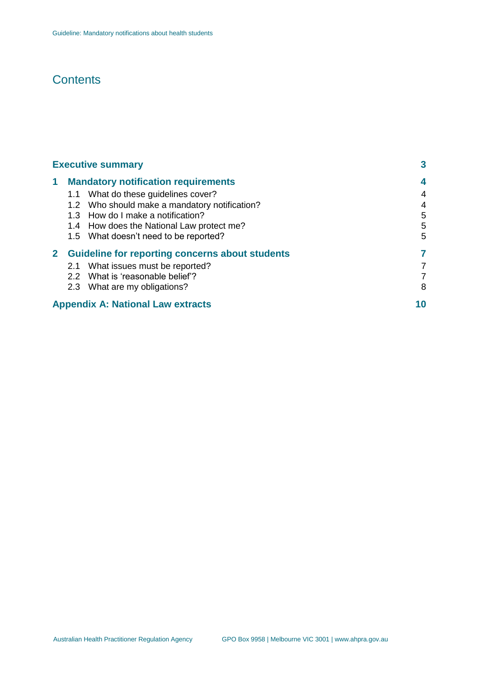# **Contents**

| <b>Executive summary</b> | 3                                                      |    |
|--------------------------|--------------------------------------------------------|----|
| 1.                       | <b>Mandatory notification requirements</b>             | 4  |
|                          | 1.1 What do these guidelines cover?                    | 4  |
|                          | 1.2 Who should make a mandatory notification?          | 4  |
|                          | 1.3 How do I make a notification?                      | 5  |
|                          | 1.4 How does the National Law protect me?              | 5  |
|                          | 1.5 What doesn't need to be reported?                  | 5  |
| $\mathbf{2}$             | <b>Guideline for reporting concerns about students</b> | 7  |
|                          | 2.1 What issues must be reported?                      | 7  |
|                          | 2.2 What is 'reasonable belief'?                       | 7  |
|                          | 2.3 What are my obligations?                           | 8  |
|                          | <b>Appendix A: National Law extracts</b>               | 10 |
|                          |                                                        |    |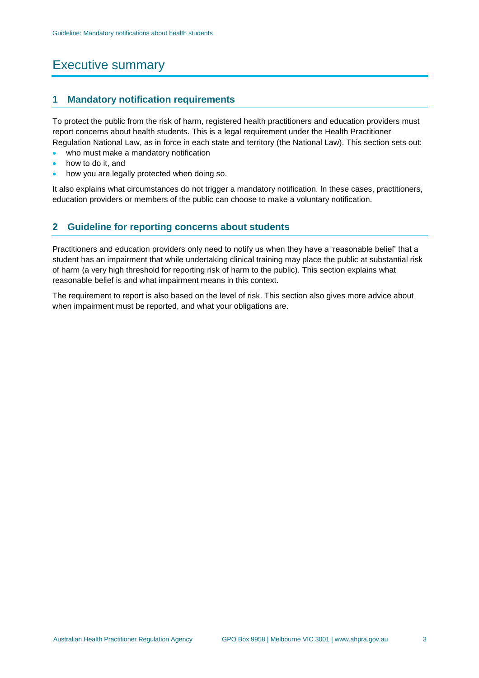# Executive summary

# **1 Mandatory notification requirements**

To protect the public from the risk of harm, registered health practitioners and education providers must report concerns about health students. This is a legal requirement under the Health Practitioner Regulation National Law, as in force in each state and territory (the National Law). This section sets out:

- who must make a mandatory notification
- how to do it, and
- how you are legally protected when doing so.

It also explains what circumstances do not trigger a mandatory notification. In these cases, practitioners, education providers or members of the public can choose to make a voluntary notification.

# **2 Guideline for reporting concerns about students**

Practitioners and education providers only need to notify us when they have a 'reasonable belief' that a student has an impairment that while undertaking clinical training may place the public at substantial risk of harm (a very high threshold for reporting risk of harm to the public). This section explains what reasonable belief is and what impairment means in this context.

The requirement to report is also based on the level of risk. This section also gives more advice about when impairment must be reported, and what your obligations are.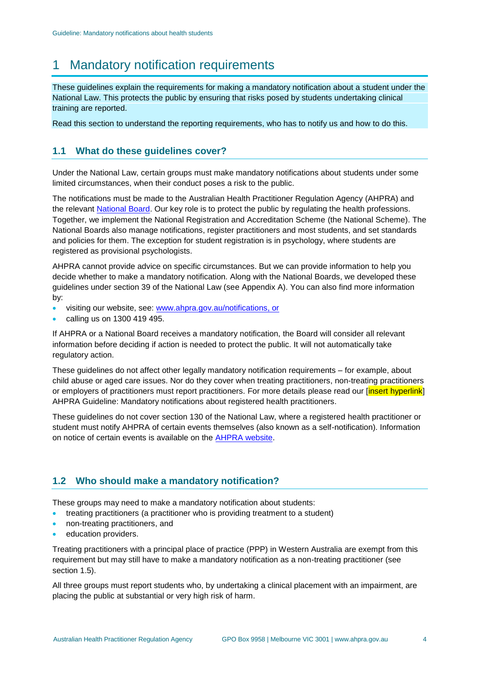# 1 Mandatory notification requirements

These guidelines explain the requirements for making a mandatory notification about a student under the National Law. This protects the public by ensuring that risks posed by students undertaking clinical training are reported.

Read this section to understand the reporting requirements, who has to notify us and how to do this.

# **1.1 What do these guidelines cover?**

Under the National Law, certain groups must make mandatory notifications about students under some limited circumstances, when their conduct poses a risk to the public.

The notifications must be made to the Australian Health Practitioner Regulation Agency (AHPRA) and the relevant [National Board.](https://www.ahpra.gov.au/National-Boards.aspx) Our key role is to protect the public by regulating the health professions. Together, we implement the National Registration and Accreditation Scheme (the National Scheme). The National Boards also manage notifications, register practitioners and most students, and set standards and policies for them. The exception for student registration is in psychology, where students are registered as provisional psychologists.

AHPRA cannot provide advice on specific circumstances. But we can provide information to help you decide whether to make a mandatory notification. Along with the National Boards, we developed these guidelines under section 39 of the National Law (see Appendix A). You can also find more information by:

- visiting our website, see: [www.ahpra.gov.au/notifications,](http://www.ahpra.gov.au/notifications) or
- calling us on 1300 419 495.

If AHPRA or a National Board receives a mandatory notification, the Board will consider all relevant information before deciding if action is needed to protect the public. It will not automatically take regulatory action.

These guidelines do not affect other legally mandatory notification requirements – for example, about child abuse or aged care issues. Nor do they cover when treating practitioners, non-treating practitioners or employers of practitioners must report practitioners. For more details please read our [insert hyperlink] AHPRA Guideline: Mandatory notifications about registered health practitioners.

These guidelines do not cover section 130 of the National Law, where a registered health practitioner or student must notify AHPRA of certain events themselves (also known as a self-notification). Information on notice of certain events is available on the [AHPRA website.](https://www.ahpra.gov.au/Registration/Registration-Process/Common-Application-Forms.aspx)

# **1.2 Who should make a mandatory notification?**

These groups may need to make a mandatory notification about students:

- treating practitioners (a practitioner who is providing treatment to a student)
- non-treating practitioners, and
- education providers.

Treating practitioners with a principal place of practice (PPP) in Western Australia are exempt from this requirement but may still have to make a mandatory notification as a non-treating practitioner (see section 1.5).

All three groups must report students who, by undertaking a clinical placement with an impairment, are placing the public at substantial or very high risk of harm.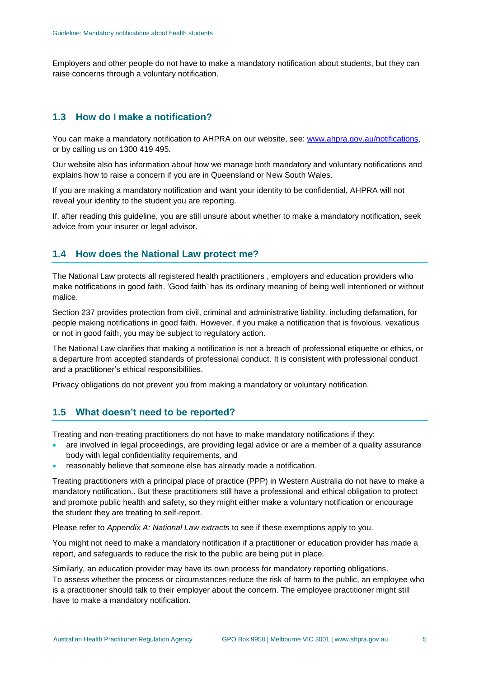Employers and other people do not have to make a mandatory notification about students, but they can raise concerns through a voluntary notification.

# **1.3 How do I make a notification?**

You can make a mandatory notification to AHPRA on our website, see: [www.ahpra.gov.au/notifications,](http://www.ahpra.gov.au/notifications) or by calling us on 1300 419 495.

Our website also has information about how we manage both mandatory and voluntary notifications and explains how to raise a concern if you are in Queensland or New South Wales.

If you are making a mandatory notification and want your identity to be confidential, AHPRA will not reveal your identity to the student you are reporting.

If, after reading this guideline, you are still unsure about whether to make a mandatory notification, seek advice from your insurer or legal advisor.

# **1.4 How does the National Law protect me?**

The National Law protects all registered health practitioners , employers and education providers who make notifications in good faith. 'Good faith' has its ordinary meaning of being well intentioned or without malice.

Section 237 provides protection from civil, criminal and administrative liability, including defamation, for people making notifications in good faith. However, if you make a notification that is frivolous, vexatious or not in good faith, you may be subject to regulatory action.

The National Law clarifies that making a notification is not a breach of professional etiquette or ethics, or a departure from accepted standards of professional conduct. It is consistent with professional conduct and a practitioner's ethical responsibilities.

Privacy obligations do not prevent you from making a mandatory or voluntary notification.

## **1.5 What doesn't need to be reported?**

Treating and non-treating practitioners do not have to make mandatory notifications if they:

- are involved in legal proceedings, are providing legal advice or are a member of a quality assurance body with legal confidentiality requirements, and
- reasonably believe that someone else has already made a notification.

Treating practitioners with a principal place of practice (PPP) in Western Australia do not have to make a mandatory notification.. But these practitioners still have a professional and ethical obligation to protect and promote public health and safety, so they might either make a voluntary notification or encourage the student they are treating to self-report.

Please refer to *[Appendix A: National Law extracts](#page-9-0)* to see if these exemptions apply to you.

You might not need to make a mandatory notification if a practitioner or education provider has made a report, and safeguards to reduce the risk to the public are being put in place.

Similarly, an education provider may have its own process for mandatory reporting obligations. To assess whether the process or circumstances reduce the risk of harm to the public, an employee who is a practitioner should talk to their employer about the concern. The employee practitioner might still have to make a mandatory notification.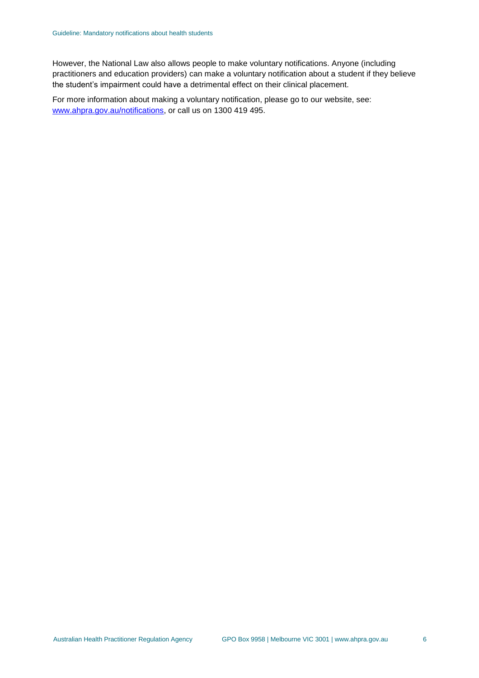However, the National Law also allows people to make voluntary notifications. Anyone (including practitioners and education providers) can make a voluntary notification about a student if they believe the student's impairment could have a detrimental effect on their clinical placement.

For more information about making a voluntary notification, please go to our website, see: [www.ahpra.gov.au/notifications,](http://www.ahpra.gov.au/Notifications) or call us on 1300 419 495.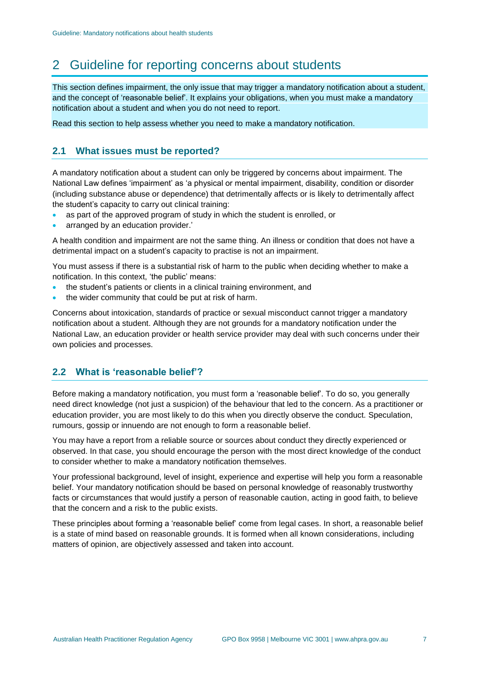# 2 Guideline for reporting concerns about students

This section defines impairment, the only issue that may trigger a mandatory notification about a student, and the concept of 'reasonable belief'. It explains your obligations, when you must make a mandatory notification about a student and when you do not need to report.

Read this section to help assess whether you need to make a mandatory notification.

# **2.1 What issues must be reported?**

A mandatory notification about a student can only be triggered by concerns about impairment. The National Law defines 'impairment' as 'a physical or mental impairment, disability, condition or disorder (including substance abuse or dependence) that detrimentally affects or is likely to detrimentally affect the student's capacity to carry out clinical training:

- as part of the approved program of study in which the student is enrolled, or
- arranged by an education provider.'

A health condition and impairment are not the same thing. An illness or condition that does not have a detrimental impact on a student's capacity to practise is not an impairment.

You must assess if there is a substantial risk of harm to the public when deciding whether to make a notification. In this context, 'the public' means:

- the student's patients or clients in a clinical training environment, and
- the wider community that could be put at risk of harm.

Concerns about intoxication, standards of practice or sexual misconduct cannot trigger a mandatory notification about a student. Although they are not grounds for a mandatory notification under the National Law, an education provider or health service provider may deal with such concerns under their own policies and processes.

## **2.2 What is 'reasonable belief'?**

Before making a mandatory notification, you must form a 'reasonable belief'. To do so, you generally need direct knowledge (not just a suspicion) of the behaviour that led to the concern. As a practitioner or education provider, you are most likely to do this when you directly observe the conduct. Speculation, rumours, gossip or innuendo are not enough to form a reasonable belief.

You may have a report from a reliable source or sources about conduct they directly experienced or observed. In that case, you should encourage the person with the most direct knowledge of the conduct to consider whether to make a mandatory notification themselves.

Your professional background, level of insight, experience and expertise will help you form a reasonable belief. Your mandatory notification should be based on personal knowledge of reasonably trustworthy facts or circumstances that would justify a person of reasonable caution, acting in good faith, to believe that the concern and a risk to the public exists.

These principles about forming a 'reasonable belief' come from legal cases. In short, a reasonable belief is a state of mind based on reasonable grounds. It is formed when all known considerations, including matters of opinion, are objectively assessed and taken into account.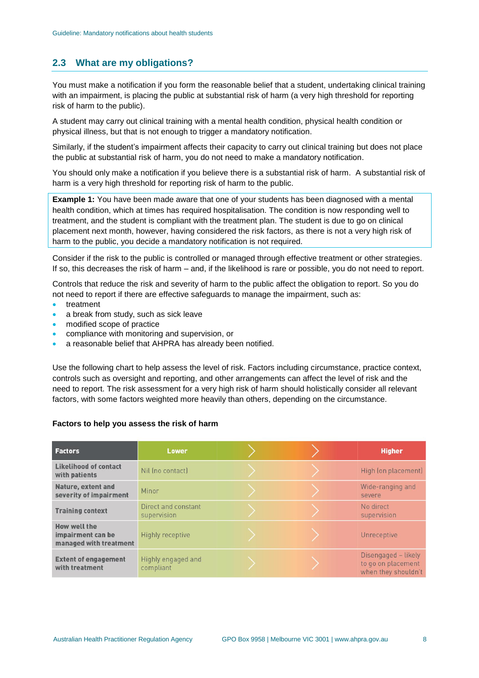# **2.3 What are my obligations?**

You must make a notification if you form the reasonable belief that a student, undertaking clinical training with an impairment, is placing the public at substantial risk of harm (a very high threshold for reporting risk of harm to the public).

A student may carry out clinical training with a mental health condition, physical health condition or physical illness, but that is not enough to trigger a mandatory notification.

Similarly, if the student's impairment affects their capacity to carry out clinical training but does not place the public at substantial risk of harm, you do not need to make a mandatory notification.

You should only make a notification if you believe there is a substantial risk of harm. A substantial risk of harm is a very high threshold for reporting risk of harm to the public.

**Example 1:** You have been made aware that one of your students has been diagnosed with a mental health condition, which at times has required hospitalisation. The condition is now responding well to treatment, and the student is compliant with the treatment plan. The student is due to go on clinical placement next month, however, having considered the risk factors, as there is not a very high risk of harm to the public, you decide a mandatory notification is not required.

Consider if the risk to the public is controlled or managed through effective treatment or other strategies. If so, this decreases the risk of harm – and, if the likelihood is rare or possible, you do not need to report.

Controls that reduce the risk and severity of harm to the public affect the obligation to report. So you do not need to report if there are effective safeguards to manage the impairment, such as:

- treatment
- a break from study, such as sick leave
- modified scope of practice
- compliance with monitoring and supervision, or
- a reasonable belief that AHPRA has already been notified.

Use the following chart to help assess the level of risk. Factors including circumstance, practice context, controls such as oversight and reporting, and other arrangements can affect the level of risk and the need to report. The risk assessment for a very high risk of harm should holistically consider all relevant factors, with some factors weighted more heavily than others, depending on the circumstance.

#### **Factors to help you assess the risk of harm**

| <b>Factors</b>                                              | Lower                              |  | <b>Higher</b>                                                    |
|-------------------------------------------------------------|------------------------------------|--|------------------------------------------------------------------|
| <b>Likelihood of contact</b><br>with patients               | Nil Ino contact)                   |  | High (on placement)                                              |
| <b>Nature, extent and</b><br>severity of impairment         | Minor                              |  | Wide-ranging and<br>severe                                       |
| <b>Training context</b>                                     | Direct and constant<br>supervision |  | No direct<br>supervision                                         |
| How well the<br>impairment can be<br>managed with treatment | Highly receptive                   |  | Unreceptive                                                      |
| <b>Extent of engagement</b><br>with treatment               | Highly engaged and<br>compliant    |  | Disengaged - likely<br>to go on placement<br>when they shouldn't |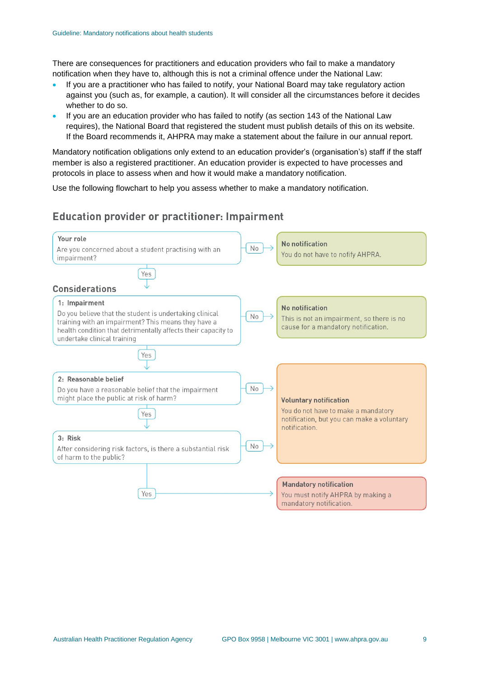There are consequences for practitioners and education providers who fail to make a mandatory notification when they have to, although this is not a criminal offence under the National Law:

- If you are a practitioner who has failed to notify, your National Board may take regulatory action against you (such as, for example, a caution). It will consider all the circumstances before it decides whether to do so.
- If you are an education provider who has failed to notify (as section 143 of the National Law requires), the National Board that registered the student must publish details of this on its website. If the Board recommends it, AHPRA may make a statement about the failure in our annual report.

Mandatory notification obligations only extend to an education provider's (organisation's) staff if the staff member is also a registered practitioner. An education provider is expected to have processes and protocols in place to assess when and how it would make a mandatory notification.

Use the following flowchart to help you assess whether to make a mandatory notification.

# **Education provider or practitioner: Impairment**

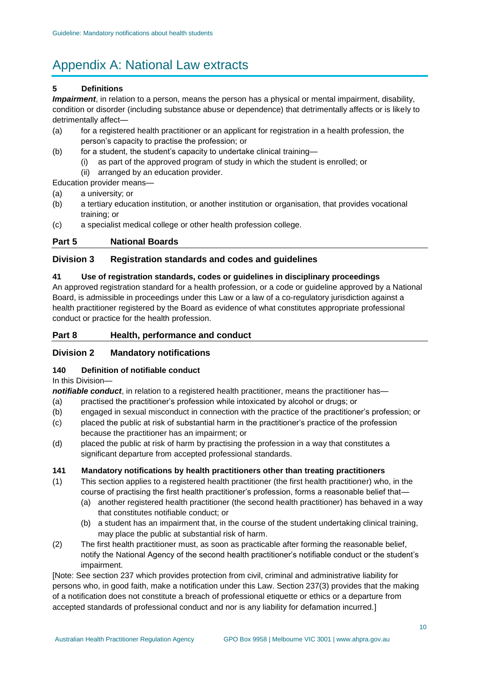# <span id="page-9-0"></span>Appendix A: National Law extracts

#### **5 Definitions**

*Impairment*, in relation to a person, means the person has a physical or mental impairment, disability, condition or disorder (including substance abuse or dependence) that detrimentally affects or is likely to detrimentally affect—

- (a) for a registered health practitioner or an applicant for registration in a health profession, the person's capacity to practise the profession; or
- (b) for a student, the student's capacity to undertake clinical training
	- as part of the approved program of study in which the student is enrolled; or (ii) arranged by an education provider.
- Education provider means—
- (a) a university; or
- (b) a tertiary education institution, or another institution or organisation, that provides vocational training; or
- (c) a specialist medical college or other health profession college.

## **Part 5 National Boards**

# **Division 3 Registration standards and codes and guidelines**

#### **41 Use of registration standards, codes or guidelines in disciplinary proceedings**

An approved registration standard for a health profession, or a code or guideline approved by a National Board, is admissible in proceedings under this Law or a law of a co-regulatory jurisdiction against a health practitioner registered by the Board as evidence of what constitutes appropriate professional conduct or practice for the health profession.

# **Part 8 Health, performance and conduct**

## **Division 2 Mandatory notifications**

## **140 Definition of notifiable conduct**

#### In this Division—

*notifiable conduct*, in relation to a registered health practitioner, means the practitioner has-

- (a) practised the practitioner's profession while intoxicated by alcohol or drugs; or
- (b) engaged in sexual misconduct in connection with the practice of the practitioner's profession; or
- (c) placed the public at risk of substantial harm in the practitioner's practice of the profession because the practitioner has an impairment; or
- (d) placed the public at risk of harm by practising the profession in a way that constitutes a significant departure from accepted professional standards.

## **141 Mandatory notifications by health practitioners other than treating practitioners**

- (1) This section applies to a registered health practitioner (the first health practitioner) who, in the course of practising the first health practitioner's profession, forms a reasonable belief that-
	- (a) another registered health practitioner (the second health practitioner) has behaved in a way that constitutes notifiable conduct; or
	- (b) a student has an impairment that, in the course of the student undertaking clinical training, may place the public at substantial risk of harm.
- (2) The first health practitioner must, as soon as practicable after forming the reasonable belief, notify the National Agency of the second health practitioner's notifiable conduct or the student's impairment.

[Note: See section 237 which provides protection from civil, criminal and administrative liability for persons who, in good faith, make a notification under this Law. Section 237(3) provides that the making of a notification does not constitute a breach of professional etiquette or ethics or a departure from accepted standards of professional conduct and nor is any liability for defamation incurred.]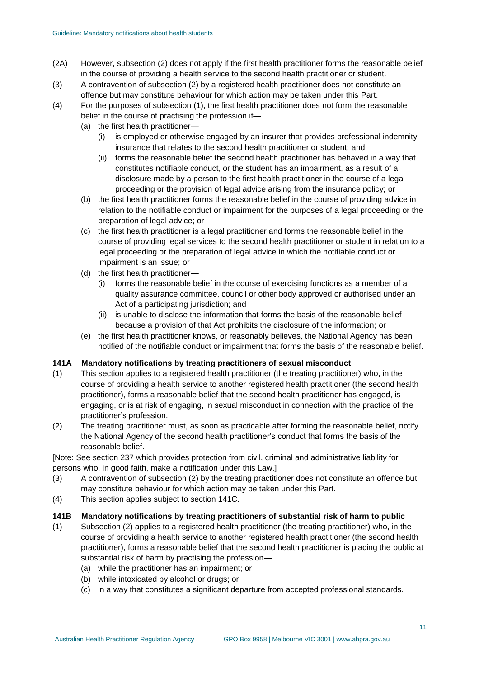- (2A) However, subsection (2) does not apply if the first health practitioner forms the reasonable belief in the course of providing a health service to the second health practitioner or student.
- (3) A contravention of subsection (2) by a registered health practitioner does not constitute an offence but may constitute behaviour for which action may be taken under this Part.
- (4) For the purposes of subsection (1), the first health practitioner does not form the reasonable belief in the course of practising the profession if—
	- (a) the first health practitioner—
		- (i) is employed or otherwise engaged by an insurer that provides professional indemnity insurance that relates to the second health practitioner or student; and
		- (ii) forms the reasonable belief the second health practitioner has behaved in a way that constitutes notifiable conduct, or the student has an impairment, as a result of a disclosure made by a person to the first health practitioner in the course of a legal proceeding or the provision of legal advice arising from the insurance policy; or
	- (b) the first health practitioner forms the reasonable belief in the course of providing advice in relation to the notifiable conduct or impairment for the purposes of a legal proceeding or the preparation of legal advice; or
	- (c) the first health practitioner is a legal practitioner and forms the reasonable belief in the course of providing legal services to the second health practitioner or student in relation to a legal proceeding or the preparation of legal advice in which the notifiable conduct or impairment is an issue; or
	- (d) the first health practitioner—
		- (i) forms the reasonable belief in the course of exercising functions as a member of a quality assurance committee, council or other body approved or authorised under an Act of a participating jurisdiction; and
		- (ii) is unable to disclose the information that forms the basis of the reasonable belief because a provision of that Act prohibits the disclosure of the information; or
	- (e) the first health practitioner knows, or reasonably believes, the National Agency has been notified of the notifiable conduct or impairment that forms the basis of the reasonable belief.

#### **141A Mandatory notifications by treating practitioners of sexual misconduct**

- (1) This section applies to a registered health practitioner (the treating practitioner) who, in the course of providing a health service to another registered health practitioner (the second health practitioner), forms a reasonable belief that the second health practitioner has engaged, is engaging, or is at risk of engaging, in sexual misconduct in connection with the practice of the practitioner's profession.
- (2) The treating practitioner must, as soon as practicable after forming the reasonable belief, notify the National Agency of the second health practitioner's conduct that forms the basis of the reasonable belief.

[Note: See section 237 which provides protection from civil, criminal and administrative liability for persons who, in good faith, make a notification under this Law.]

- (3) A contravention of subsection (2) by the treating practitioner does not constitute an offence but may constitute behaviour for which action may be taken under this Part.
- (4) This section applies subject to section 141C.

#### **141B Mandatory notifications by treating practitioners of substantial risk of harm to public**

- (1) Subsection (2) applies to a registered health practitioner (the treating practitioner) who, in the course of providing a health service to another registered health practitioner (the second health practitioner), forms a reasonable belief that the second health practitioner is placing the public at substantial risk of harm by practising the profession—
	- (a) while the practitioner has an impairment; or
	- (b) while intoxicated by alcohol or drugs; or
	- (c) in a way that constitutes a significant departure from accepted professional standards.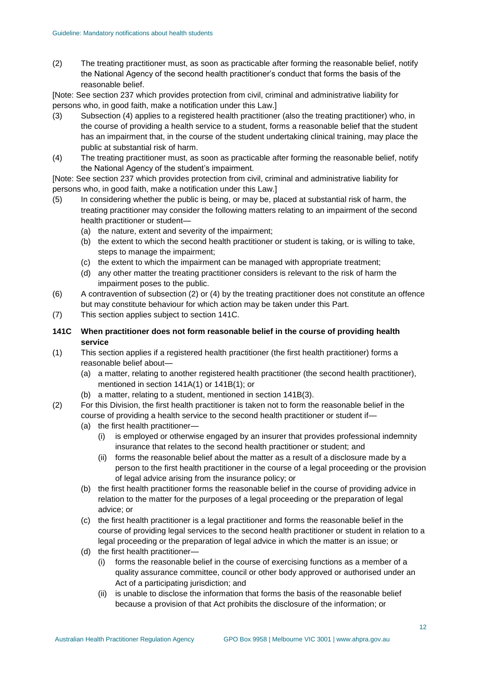(2) The treating practitioner must, as soon as practicable after forming the reasonable belief, notify the National Agency of the second health practitioner's conduct that forms the basis of the reasonable belief.

[Note: See section 237 which provides protection from civil, criminal and administrative liability for persons who, in good faith, make a notification under this Law.]

- (3) Subsection (4) applies to a registered health practitioner (also the treating practitioner) who, in the course of providing a health service to a student, forms a reasonable belief that the student has an impairment that, in the course of the student undertaking clinical training, may place the public at substantial risk of harm.
- (4) The treating practitioner must, as soon as practicable after forming the reasonable belief, notify the National Agency of the student's impairment.

[Note: See section 237 which provides protection from civil, criminal and administrative liability for persons who, in good faith, make a notification under this Law.]

- (5) In considering whether the public is being, or may be, placed at substantial risk of harm, the treating practitioner may consider the following matters relating to an impairment of the second health practitioner or student—
	- (a) the nature, extent and severity of the impairment;
	- (b) the extent to which the second health practitioner or student is taking, or is willing to take, steps to manage the impairment;
	- (c) the extent to which the impairment can be managed with appropriate treatment;
	- (d) any other matter the treating practitioner considers is relevant to the risk of harm the impairment poses to the public.
- (6) A contravention of subsection (2) or (4) by the treating practitioner does not constitute an offence but may constitute behaviour for which action may be taken under this Part.
- (7) This section applies subject to section 141C.
- **141C When practitioner does not form reasonable belief in the course of providing health service**
- (1) This section applies if a registered health practitioner (the first health practitioner) forms a reasonable belief about—
	- (a) a matter, relating to another registered health practitioner (the second health practitioner), mentioned in section 141A(1) or 141B(1); or
	- (b) a matter, relating to a student, mentioned in section 141B(3).
- (2) For this Division, the first health practitioner is taken not to form the reasonable belief in the course of providing a health service to the second health practitioner or student if—
	- (a) the first health practitioner—
		- (i) is employed or otherwise engaged by an insurer that provides professional indemnity insurance that relates to the second health practitioner or student; and
		- (ii) forms the reasonable belief about the matter as a result of a disclosure made by a person to the first health practitioner in the course of a legal proceeding or the provision of legal advice arising from the insurance policy; or
	- (b) the first health practitioner forms the reasonable belief in the course of providing advice in relation to the matter for the purposes of a legal proceeding or the preparation of legal advice; or
	- (c) the first health practitioner is a legal practitioner and forms the reasonable belief in the course of providing legal services to the second health practitioner or student in relation to a legal proceeding or the preparation of legal advice in which the matter is an issue; or
	- (d) the first health practitioner—
		- (i) forms the reasonable belief in the course of exercising functions as a member of a quality assurance committee, council or other body approved or authorised under an Act of a participating jurisdiction; and
		- (ii) is unable to disclose the information that forms the basis of the reasonable belief because a provision of that Act prohibits the disclosure of the information; or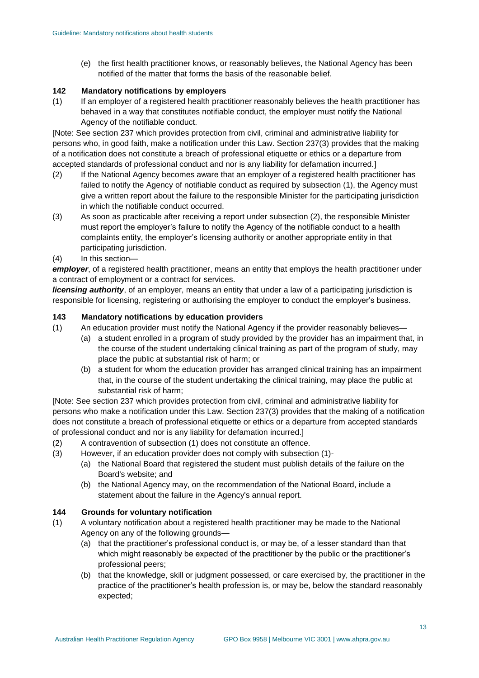(e) the first health practitioner knows, or reasonably believes, the National Agency has been notified of the matter that forms the basis of the reasonable belief.

#### **142 Mandatory notifications by employers**

(1) If an employer of a registered health practitioner reasonably believes the health practitioner has behaved in a way that constitutes notifiable conduct, the employer must notify the National Agency of the notifiable conduct.

[Note: See section 237 which provides protection from civil, criminal and administrative liability for persons who, in good faith, make a notification under this Law. Section 237(3) provides that the making of a notification does not constitute a breach of professional etiquette or ethics or a departure from accepted standards of professional conduct and nor is any liability for defamation incurred.]

- (2) If the National Agency becomes aware that an employer of a registered health practitioner has failed to notify the Agency of notifiable conduct as required by subsection (1), the Agency must give a written report about the failure to the responsible Minister for the participating jurisdiction in which the notifiable conduct occurred.
- (3) As soon as practicable after receiving a report under subsection (2), the responsible Minister must report the employer's failure to notify the Agency of the notifiable conduct to a health complaints entity, the employer's licensing authority or another appropriate entity in that participating jurisdiction.
- (4) In this section—

*employer*, of a registered health practitioner, means an entity that employs the health practitioner under a contract of employment or a contract for services.

*licensing authority*, of an employer, means an entity that under a law of a participating jurisdiction is responsible for licensing, registering or authorising the employer to conduct the employer's business.

#### **143 Mandatory notifications by education providers**

- (1) An education provider must notify the National Agency if the provider reasonably believes—
	- (a) a student enrolled in a program of study provided by the provider has an impairment that, in the course of the student undertaking clinical training as part of the program of study, may place the public at substantial risk of harm; or
	- (b) a student for whom the education provider has arranged clinical training has an impairment that, in the course of the student undertaking the clinical training, may place the public at substantial risk of harm;

[Note: See section 237 which provides protection from civil, criminal and administrative liability for persons who make a notification under this Law. Section 237(3) provides that the making of a notification does not constitute a breach of professional etiquette or ethics or a departure from accepted standards of professional conduct and nor is any liability for defamation incurred.]

- (2) A contravention of subsection (1) does not constitute an offence.
- (3) However, if an education provider does not comply with subsection (1)-
	- (a) the National Board that registered the student must publish details of the failure on the Board's website; and
	- (b) the National Agency may, on the recommendation of the National Board, include a statement about the failure in the Agency's annual report.

#### **144 Grounds for voluntary notification**

- (1) A voluntary notification about a registered health practitioner may be made to the National Agency on any of the following grounds—
	- (a) that the practitioner's professional conduct is, or may be, of a lesser standard than that which might reasonably be expected of the practitioner by the public or the practitioner's professional peers;
	- (b) that the knowledge, skill or judgment possessed, or care exercised by, the practitioner in the practice of the practitioner's health profession is, or may be, below the standard reasonably expected;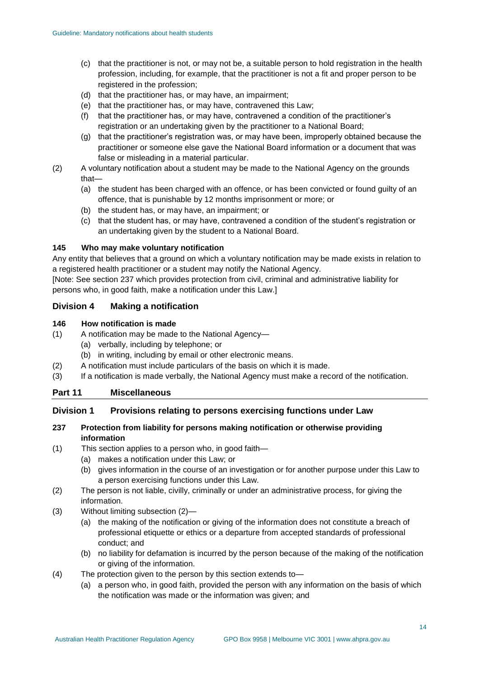- (c) that the practitioner is not, or may not be, a suitable person to hold registration in the health profession, including, for example, that the practitioner is not a fit and proper person to be registered in the profession;
- (d) that the practitioner has, or may have, an impairment;
- (e) that the practitioner has, or may have, contravened this Law;
- (f) that the practitioner has, or may have, contravened a condition of the practitioner's registration or an undertaking given by the practitioner to a National Board;
- (g) that the practitioner's registration was, or may have been, improperly obtained because the practitioner or someone else gave the National Board information or a document that was false or misleading in a material particular.
- (2) A voluntary notification about a student may be made to the National Agency on the grounds that—
	- (a) the student has been charged with an offence, or has been convicted or found guilty of an offence, that is punishable by 12 months imprisonment or more; or
	- (b) the student has, or may have, an impairment; or
	- (c) that the student has, or may have, contravened a condition of the student's registration or an undertaking given by the student to a National Board.

#### **145 Who may make voluntary notification**

Any entity that believes that a ground on which a voluntary notification may be made exists in relation to a registered health practitioner or a student may notify the National Agency.

[Note: See section 237 which provides protection from civil, criminal and administrative liability for persons who, in good faith, make a notification under this Law.]

#### **Division 4 Making a notification**

#### **146 How notification is made**

- (1) A notification may be made to the National Agency—
	- (a) verbally, including by telephone; or
	- (b) in writing, including by email or other electronic means.
- (2) A notification must include particulars of the basis on which it is made.
- (3) If a notification is made verbally, the National Agency must make a record of the notification.

#### **Part 11 Miscellaneous**

#### **Division 1 Provisions relating to persons exercising functions under Law**

#### **237 Protection from liability for persons making notification or otherwise providing information**

- (1) This section applies to a person who, in good faith—
	- (a) makes a notification under this Law; or
		- (b) gives information in the course of an investigation or for another purpose under this Law to a person exercising functions under this Law.
- (2) The person is not liable, civilly, criminally or under an administrative process, for giving the information.
- (3) Without limiting subsection (2)—
	- (a) the making of the notification or giving of the information does not constitute a breach of professional etiquette or ethics or a departure from accepted standards of professional conduct; and
	- (b) no liability for defamation is incurred by the person because of the making of the notification or giving of the information.
- (4) The protection given to the person by this section extends to—
	- (a) a person who, in good faith, provided the person with any information on the basis of which the notification was made or the information was given; and